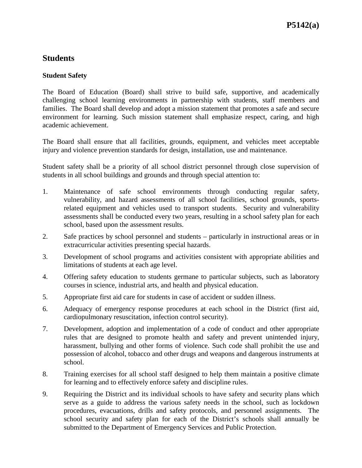## **Students**

## **Student Safety**

The Board of Education (Board) shall strive to build safe, supportive, and academically challenging school learning environments in partnership with students, staff members and families. The Board shall develop and adopt a mission statement that promotes a safe and secure environment for learning. Such mission statement shall emphasize respect, caring, and high academic achievement.

The Board shall ensure that all facilities, grounds, equipment, and vehicles meet acceptable injury and violence prevention standards for design, installation, use and maintenance.

Student safety shall be a priority of all school district personnel through close supervision of students in all school buildings and grounds and through special attention to:

- 1. Maintenance of safe school environments through conducting regular safety, vulnerability, and hazard assessments of all school facilities, school grounds, sportsrelated equipment and vehicles used to transport students. Security and vulnerability assessments shall be conducted every two years, resulting in a school safety plan for each school, based upon the assessment results.
- 2. Safe practices by school personnel and students particularly in instructional areas or in extracurricular activities presenting special hazards.
- 3. Development of school programs and activities consistent with appropriate abilities and limitations of students at each age level.
- 4. Offering safety education to students germane to particular subjects, such as laboratory courses in science, industrial arts, and health and physical education.
- 5. Appropriate first aid care for students in case of accident or sudden illness.
- 6. Adequacy of emergency response procedures at each school in the District (first aid, cardiopulmonary resuscitation, infection control security).
- 7. Development, adoption and implementation of a code of conduct and other appropriate rules that are designed to promote health and safety and prevent unintended injury, harassment, bullying and other forms of violence. Such code shall prohibit the use and possession of alcohol, tobacco and other drugs and weapons and dangerous instruments at school.
- 8. Training exercises for all school staff designed to help them maintain a positive climate for learning and to effectively enforce safety and discipline rules.
- 9. Requiring the District and its individual schools to have safety and security plans which serve as a guide to address the various safety needs in the school, such as lockdown procedures, evacuations, drills and safety protocols, and personnel assignments. The school security and safety plan for each of the District's schools shall annually be submitted to the Department of Emergency Services and Public Protection.